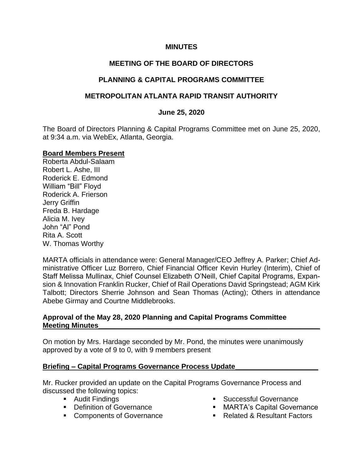### **MINUTES**

# **MEETING OF THE BOARD OF DIRECTORS**

## **PLANNING & CAPITAL PROGRAMS COMMITTEE**

## **METROPOLITAN ATLANTA RAPID TRANSIT AUTHORITY**

### **June 25, 2020**

The Board of Directors Planning & Capital Programs Committee met on June 25, 2020, at 9:34 a.m. via WebEx, Atlanta, Georgia.

#### **Board Members Present**

Roberta Abdul-Salaam Robert L. Ashe, III Roderick E. Edmond William "Bill" Floyd Roderick A. Frierson Jerry Griffin Freda B. Hardage Alicia M. Ivey John "Al" Pond Rita A. Scott W. Thomas Worthy

MARTA officials in attendance were: General Manager/CEO Jeffrey A. Parker; Chief Administrative Officer Luz Borrero, Chief Financial Officer Kevin Hurley (Interim), Chief of Staff Melissa Mullinax, Chief Counsel Elizabeth O'Neill, Chief Capital Programs, Expansion & Innovation Franklin Rucker, Chief of Rail Operations David Springstead; AGM Kirk Talbott; Directors Sherrie Johnson and Sean Thomas (Acting); Others in attendance Abebe Girmay and Courtne Middlebrooks.

#### **Approval of the May 28, 2020 Planning and Capital Programs Committee Meeting Minutes**

On motion by Mrs. Hardage seconded by Mr. Pond, the minutes were unanimously approved by a vote of 9 to 0, with 9 members present

#### **Briefing – Capital Programs Governance Process Update\_\_\_\_\_\_\_\_\_\_\_\_\_\_\_\_\_\_\_\_\_**

Mr. Rucker provided an update on the Capital Programs Governance Process and discussed the following topics:

- Audit Findings
- Definition of Governance
- Components of Governance
- Successful Governance
- MARTA's Capital Governance
- Related & Resultant Factors